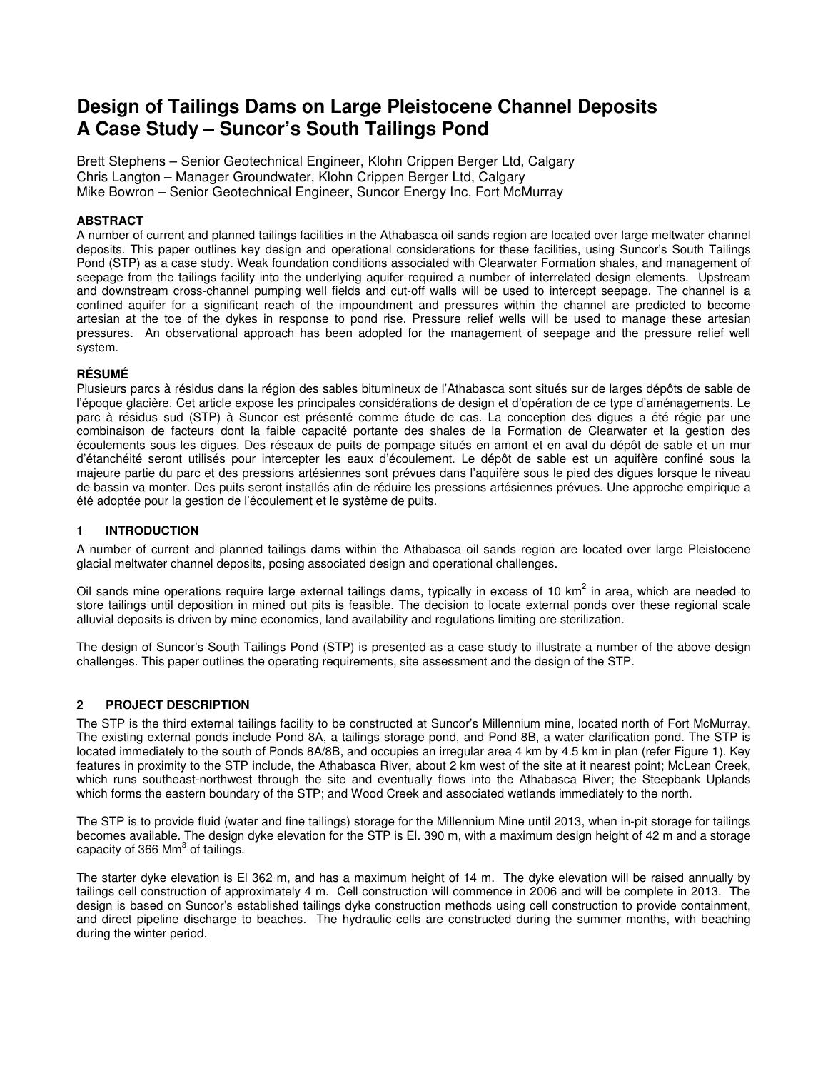# **Design of Tailings Dams on Large Pleistocene Channel Deposits A Case Study – Suncor's South Tailings Pond**

Brett Stephens – Senior Geotechnical Engineer, Klohn Crippen Berger Ltd, Calgary Chris Langton – Manager Groundwater, Klohn Crippen Berger Ltd, Calgary Mike Bowron – Senior Geotechnical Engineer, Suncor Energy Inc, Fort McMurray

# **ABSTRACT**

A number of current and planned tailings facilities in the Athabasca oil sands region are located over large meltwater channel deposits. This paper outlines key design and operational considerations for these facilities, using Suncor's South Tailings Pond (STP) as a case study. Weak foundation conditions associated with Clearwater Formation shales, and management of seepage from the tailings facility into the underlying aquifer required a number of interrelated design elements. Upstream and downstream cross-channel pumping well fields and cut-off walls will be used to intercept seepage. The channel is a confined aquifer for a significant reach of the impoundment and pressures within the channel are predicted to become artesian at the toe of the dykes in response to pond rise. Pressure relief wells will be used to manage these artesian pressures. An observational approach has been adopted for the management of seepage and the pressure relief well system.

## **RÉSUMÉ**

Plusieurs parcs à résidus dans la région des sables bitumineux de l'Athabasca sont situés sur de larges dépôts de sable de l'époque glacière. Cet article expose les principales considérations de design et d'opération de ce type d'aménagements. Le parc à résidus sud (STP) à Suncor est présenté comme étude de cas. La conception des digues a été régie par une combinaison de facteurs dont la faible capacité portante des shales de la Formation de Clearwater et la gestion des écoulements sous les digues. Des réseaux de puits de pompage situés en amont et en aval du dépôt de sable et un mur d'étanchéité seront utilisés pour intercepter les eaux d'écoulement. Le dépôt de sable est un aquifère confiné sous la majeure partie du parc et des pressions artésiennes sont prévues dans l'aquifère sous le pied des digues lorsque le niveau de bassin va monter. Des puits seront installés afin de réduire les pressions artésiennes prévues. Une approche empirique a été adoptée pour la gestion de l'écoulement et le système de puits.

# **1 INTRODUCTION**

A number of current and planned tailings dams within the Athabasca oil sands region are located over large Pleistocene glacial meltwater channel deposits, posing associated design and operational challenges.

Oil sands mine operations require large external tailings dams, typically in excess of 10 km<sup>2</sup> in area, which are needed to store tailings until deposition in mined out pits is feasible. The decision to locate external ponds over these regional scale alluvial deposits is driven by mine economics, land availability and regulations limiting ore sterilization.

The design of Suncor's South Tailings Pond (STP) is presented as a case study to illustrate a number of the above design challenges. This paper outlines the operating requirements, site assessment and the design of the STP.

## **2 PROJECT DESCRIPTION**

The STP is the third external tailings facility to be constructed at Suncor's Millennium mine, located north of Fort McMurray. The existing external ponds include Pond 8A, a tailings storage pond, and Pond 8B, a water clarification pond. The STP is located immediately to the south of Ponds 8A/8B, and occupies an irregular area 4 km by 4.5 km in plan (refer Figure 1). Key features in proximity to the STP include, the Athabasca River, about 2 km west of the site at it nearest point; McLean Creek, which runs southeast-northwest through the site and eventually flows into the Athabasca River; the Steepbank Uplands which forms the eastern boundary of the STP; and Wood Creek and associated wetlands immediately to the north.

The STP is to provide fluid (water and fine tailings) storage for the Millennium Mine until 2013, when in-pit storage for tailings becomes available. The design dyke elevation for the STP is El. 390 m, with a maximum design height of 42 m and a storage capacity of 366 Mm $^3$  of tailings.

The starter dyke elevation is El 362 m, and has a maximum height of 14 m. The dyke elevation will be raised annually by tailings cell construction of approximately 4 m. Cell construction will commence in 2006 and will be complete in 2013. The design is based on Suncor's established tailings dyke construction methods using cell construction to provide containment, and direct pipeline discharge to beaches. The hydraulic cells are constructed during the summer months, with beaching during the winter period.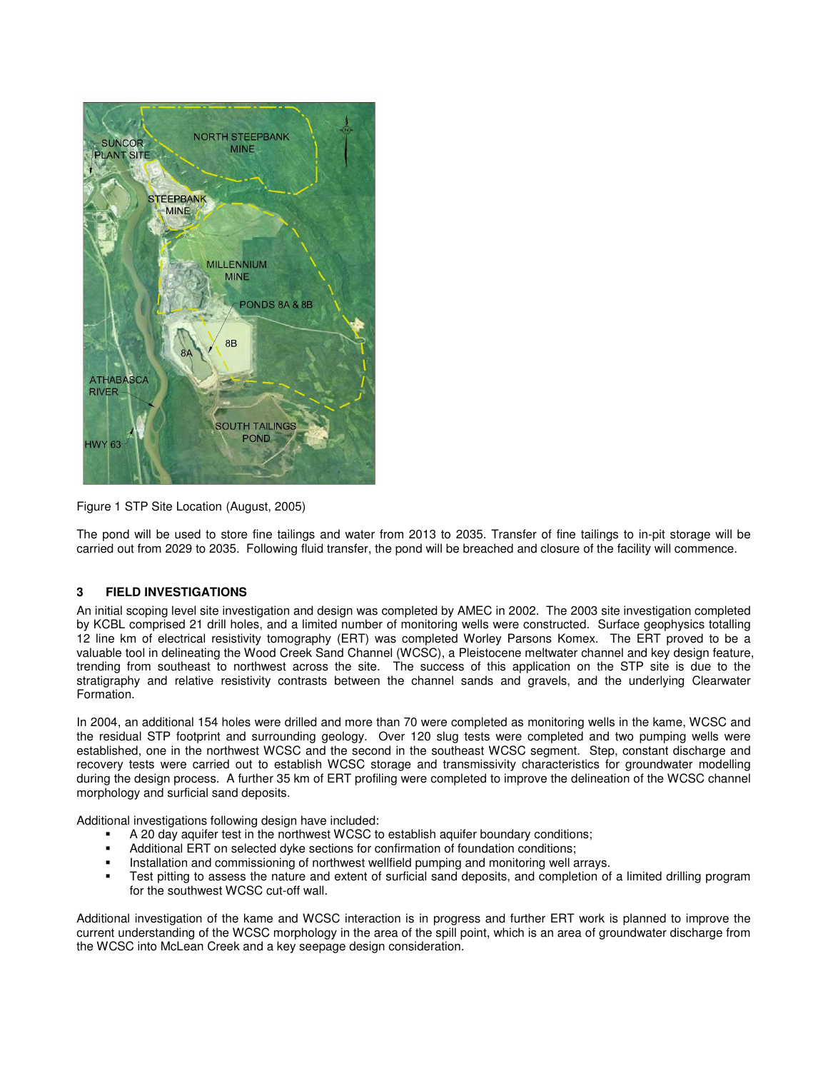

Figure 1 STP Site Location (August, 2005)

The pond will be used to store fine tailings and water from 2013 to 2035. Transfer of fine tailings to in-pit storage will be carried out from 2029 to 2035. Following fluid transfer, the pond will be breached and closure of the facility will commence.

## **3 FIELD INVESTIGATIONS**

An initial scoping level site investigation and design was completed by AMEC in 2002. The 2003 site investigation completed by KCBL comprised 21 drill holes, and a limited number of monitoring wells were constructed. Surface geophysics totalling 12 line km of electrical resistivity tomography (ERT) was completed Worley Parsons Komex. The ERT proved to be a valuable tool in delineating the Wood Creek Sand Channel (WCSC), a Pleistocene meltwater channel and key design feature, trending from southeast to northwest across the site. The success of this application on the STP site is due to the stratigraphy and relative resistivity contrasts between the channel sands and gravels, and the underlying Clearwater Formation.

In 2004, an additional 154 holes were drilled and more than 70 were completed as monitoring wells in the kame, WCSC and the residual STP footprint and surrounding geology. Over 120 slug tests were completed and two pumping wells were established, one in the northwest WCSC and the second in the southeast WCSC segment. Step, constant discharge and recovery tests were carried out to establish WCSC storage and transmissivity characteristics for groundwater modelling during the design process. A further 35 km of ERT profiling were completed to improve the delineation of the WCSC channel morphology and surficial sand deposits.

Additional investigations following design have included:

- A 20 day aquifer test in the northwest WCSC to establish aquifer boundary conditions;
- Additional ERT on selected dyke sections for confirmation of foundation conditions;
- Installation and commissioning of northwest wellfield pumping and monitoring well arrays.<br>In the part in the part of arrays and extent of surficial sand deposits and completion of
- Test pitting to assess the nature and extent of surficial sand deposits, and completion of a limited drilling program for the southwest WCSC cut-off wall.

Additional investigation of the kame and WCSC interaction is in progress and further ERT work is planned to improve the current understanding of the WCSC morphology in the area of the spill point, which is an area of groundwater discharge from the WCSC into McLean Creek and a key seepage design consideration.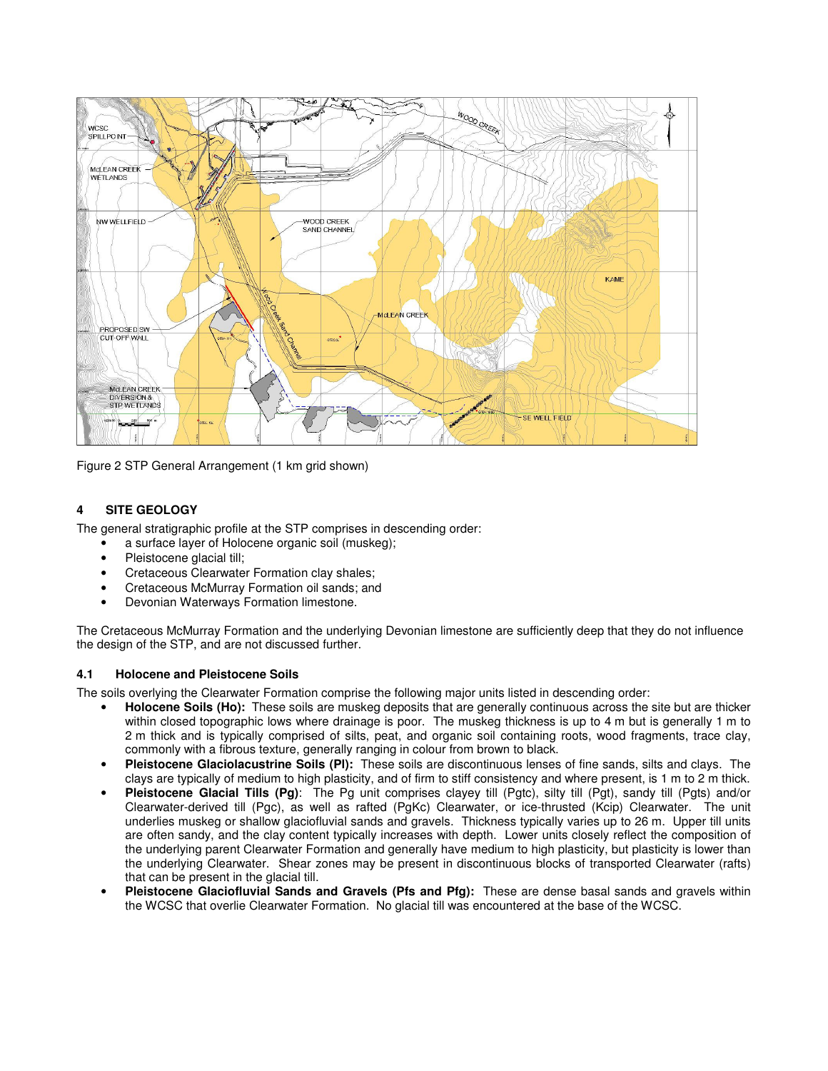

Figure 2 STP General Arrangement (1 km grid shown)

# **4 SITE GEOLOGY**

The general stratigraphic profile at the STP comprises in descending order:

- a surface layer of Holocene organic soil (muskeg);
- Pleistocene glacial till;
- Cretaceous Clearwater Formation clay shales;
- Cretaceous McMurray Formation oil sands; and
- Devonian Waterways Formation limestone.

The Cretaceous McMurray Formation and the underlying Devonian limestone are sufficiently deep that they do not influence the design of the STP, and are not discussed further.

#### **4.1 Holocene and Pleistocene Soils**

The soils overlying the Clearwater Formation comprise the following major units listed in descending order:

- **Holocene Soils (Ho):** These soils are muskeg deposits that are generally continuous across the site but are thicker within closed topographic lows where drainage is poor. The muskeg thickness is up to 4 m but is generally 1 m to 2 m thick and is typically comprised of silts, peat, and organic soil containing roots, wood fragments, trace clay, commonly with a fibrous texture, generally ranging in colour from brown to black.
- **Pleistocene Glaciolacustrine Soils (Pl):** These soils are discontinuous lenses of fine sands, silts and clays. The clays are typically of medium to high plasticity, and of firm to stiff consistency and where present, is 1 m to 2 m thick.
- **Pleistocene Glacial Tills (Pg)**: The Pg unit comprises clayey till (Pgtc), silty till (Pgt), sandy till (Pgts) and/or Clearwater-derived till (Pgc), as well as rafted (PgKc) Clearwater, or ice-thrusted (Kcip) Clearwater. The unit underlies muskeg or shallow glaciofluvial sands and gravels. Thickness typically varies up to 26 m. Upper till units are often sandy, and the clay content typically increases with depth. Lower units closely reflect the composition of the underlying parent Clearwater Formation and generally have medium to high plasticity, but plasticity is lower than the underlying Clearwater. Shear zones may be present in discontinuous blocks of transported Clearwater (rafts) that can be present in the glacial till.
- **Pleistocene Glaciofluvial Sands and Gravels (Pfs and Pfg):** These are dense basal sands and gravels within the WCSC that overlie Clearwater Formation. No glacial till was encountered at the base of the WCSC.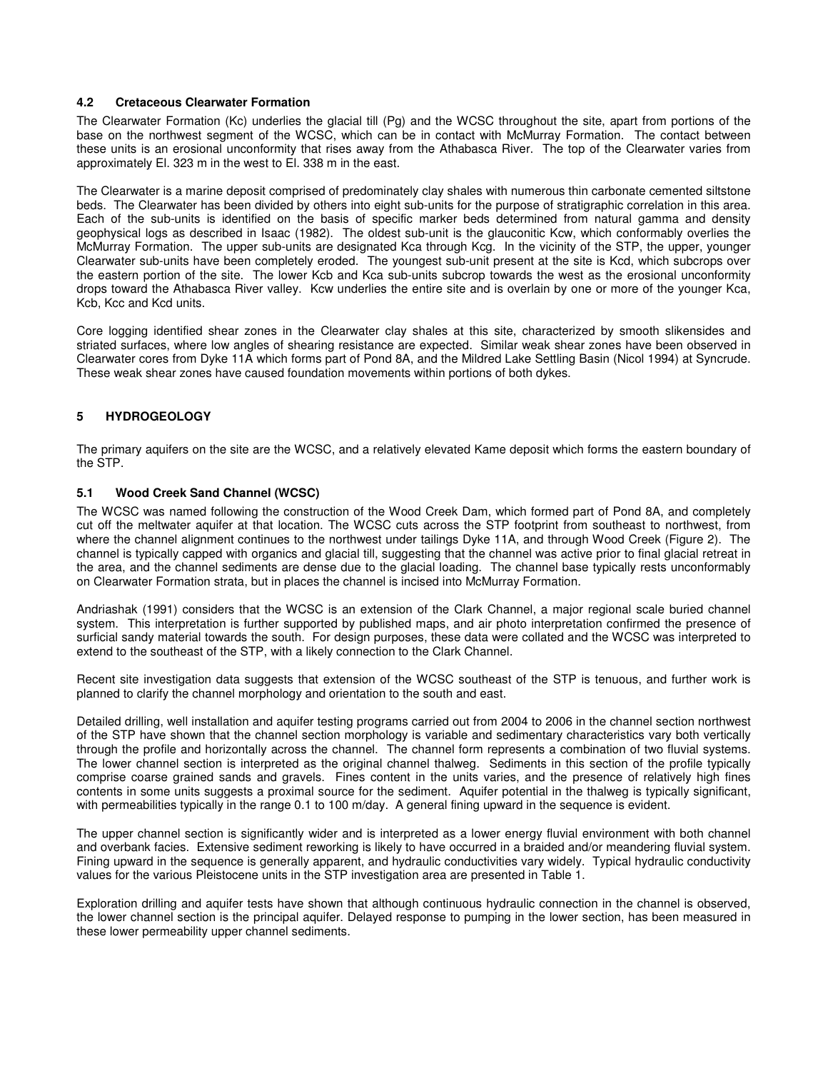### **4.2 Cretaceous Clearwater Formation**

The Clearwater Formation (Kc) underlies the glacial till (Pg) and the WCSC throughout the site, apart from portions of the base on the northwest segment of the WCSC, which can be in contact with McMurray Formation. The contact between these units is an erosional unconformity that rises away from the Athabasca River. The top of the Clearwater varies from approximately El. 323 m in the west to El. 338 m in the east.

The Clearwater is a marine deposit comprised of predominately clay shales with numerous thin carbonate cemented siltstone beds. The Clearwater has been divided by others into eight sub-units for the purpose of stratigraphic correlation in this area. Each of the sub-units is identified on the basis of specific marker beds determined from natural gamma and density geophysical logs as described in Isaac (1982). The oldest sub-unit is the glauconitic Kcw, which conformably overlies the McMurray Formation. The upper sub-units are designated Kca through Kcg. In the vicinity of the STP, the upper, younger Clearwater sub-units have been completely eroded. The youngest sub-unit present at the site is Kcd, which subcrops over the eastern portion of the site. The lower Kcb and Kca sub-units subcrop towards the west as the erosional unconformity drops toward the Athabasca River valley. Kcw underlies the entire site and is overlain by one or more of the younger Kca, Kcb, Kcc and Kcd units.

Core logging identified shear zones in the Clearwater clay shales at this site, characterized by smooth slikensides and striated surfaces, where low angles of shearing resistance are expected. Similar weak shear zones have been observed in Clearwater cores from Dyke 11A which forms part of Pond 8A, and the Mildred Lake Settling Basin (Nicol 1994) at Syncrude. These weak shear zones have caused foundation movements within portions of both dykes.

# **5 HYDROGEOLOGY**

The primary aquifers on the site are the WCSC, and a relatively elevated Kame deposit which forms the eastern boundary of the STP.

### **5.1 Wood Creek Sand Channel (WCSC)**

The WCSC was named following the construction of the Wood Creek Dam, which formed part of Pond 8A, and completely cut off the meltwater aquifer at that location. The WCSC cuts across the STP footprint from southeast to northwest, from where the channel alignment continues to the northwest under tailings Dyke 11A, and through Wood Creek (Figure 2). The channel is typically capped with organics and glacial till, suggesting that the channel was active prior to final glacial retreat in the area, and the channel sediments are dense due to the glacial loading. The channel base typically rests unconformably on Clearwater Formation strata, but in places the channel is incised into McMurray Formation.

Andriashak (1991) considers that the WCSC is an extension of the Clark Channel, a major regional scale buried channel system. This interpretation is further supported by published maps, and air photo interpretation confirmed the presence of surficial sandy material towards the south. For design purposes, these data were collated and the WCSC was interpreted to extend to the southeast of the STP, with a likely connection to the Clark Channel.

Recent site investigation data suggests that extension of the WCSC southeast of the STP is tenuous, and further work is planned to clarify the channel morphology and orientation to the south and east.

Detailed drilling, well installation and aquifer testing programs carried out from 2004 to 2006 in the channel section northwest of the STP have shown that the channel section morphology is variable and sedimentary characteristics vary both vertically through the profile and horizontally across the channel. The channel form represents a combination of two fluvial systems. The lower channel section is interpreted as the original channel thalweg. Sediments in this section of the profile typically comprise coarse grained sands and gravels. Fines content in the units varies, and the presence of relatively high fines contents in some units suggests a proximal source for the sediment. Aquifer potential in the thalweg is typically significant, with permeabilities typically in the range 0.1 to 100 m/day. A general fining upward in the sequence is evident.

The upper channel section is significantly wider and is interpreted as a lower energy fluvial environment with both channel and overbank facies. Extensive sediment reworking is likely to have occurred in a braided and/or meandering fluvial system. Fining upward in the sequence is generally apparent, and hydraulic conductivities vary widely. Typical hydraulic conductivity values for the various Pleistocene units in the STP investigation area are presented in Table 1.

Exploration drilling and aquifer tests have shown that although continuous hydraulic connection in the channel is observed, the lower channel section is the principal aquifer. Delayed response to pumping in the lower section, has been measured in these lower permeability upper channel sediments.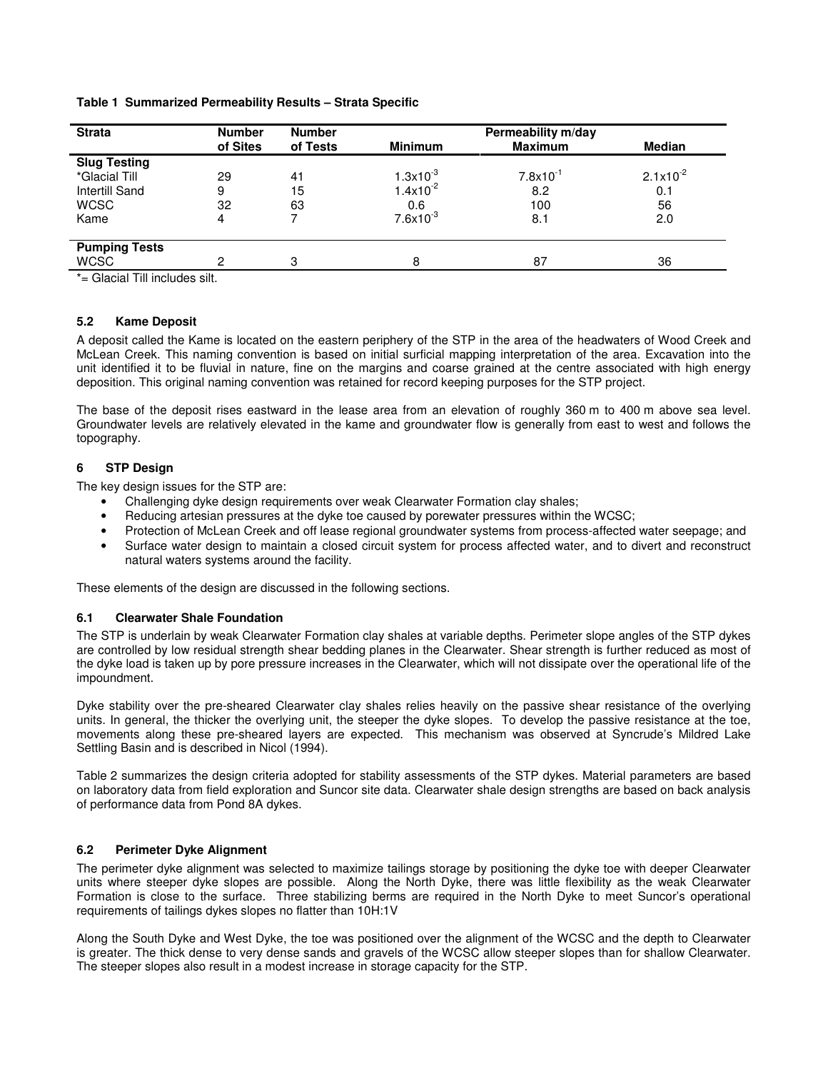### **Table 1 Summarized Permeability Results – Strata Specific**

| <b>Strata</b>                  | <b>Number</b> | <b>Number</b> |                | Permeability m/day   |               |
|--------------------------------|---------------|---------------|----------------|----------------------|---------------|
|                                | of Sites      | of Tests      | <b>Minimum</b> | <b>Maximum</b>       | <b>Median</b> |
| <b>Slug Testing</b>            |               |               |                |                      |               |
| *Glacial Till                  | 29            | 41            | $1.3x10^{-3}$  | $7.8 \times 10^{-1}$ | $2.1x10^{-2}$ |
| <b>Intertill Sand</b>          | 9             | 15            | $1.4x10^{-2}$  | 8.2                  | 0.1           |
| <b>WCSC</b>                    | 32            | 63            | 0.6            | 100                  | 56            |
| Kame                           | 4             |               | $7.6x10^{-3}$  | 8.1                  | 2.0           |
|                                |               |               |                |                      |               |
| <b>Pumping Tests</b>           |               |               |                |                      |               |
| <b>WCSC</b>                    | っ             | 3             | 8              | 87                   | 36            |
| $*$ Clopial Till includes silt |               |               |                |                      |               |

= Glacial Till includes silt.

### **5.2 Kame Deposit**

A deposit called the Kame is located on the eastern periphery of the STP in the area of the headwaters of Wood Creek and McLean Creek. This naming convention is based on initial surficial mapping interpretation of the area. Excavation into the unit identified it to be fluvial in nature, fine on the margins and coarse grained at the centre associated with high energy deposition. This original naming convention was retained for record keeping purposes for the STP project.

The base of the deposit rises eastward in the lease area from an elevation of roughly 360 m to 400 m above sea level. Groundwater levels are relatively elevated in the kame and groundwater flow is generally from east to west and follows the topography.

# **6 STP Design**

The key design issues for the STP are:

- Challenging dyke design requirements over weak Clearwater Formation clay shales;
- Reducing artesian pressures at the dyke toe caused by porewater pressures within the WCSC;
- Protection of McLean Creek and off lease regional groundwater systems from process-affected water seepage; and
- Surface water design to maintain a closed circuit system for process affected water, and to divert and reconstruct natural waters systems around the facility.

These elements of the design are discussed in the following sections.

#### **6.1 Clearwater Shale Foundation**

The STP is underlain by weak Clearwater Formation clay shales at variable depths. Perimeter slope angles of the STP dykes are controlled by low residual strength shear bedding planes in the Clearwater. Shear strength is further reduced as most of the dyke load is taken up by pore pressure increases in the Clearwater, which will not dissipate over the operational life of the impoundment.

Dyke stability over the pre-sheared Clearwater clay shales relies heavily on the passive shear resistance of the overlying units. In general, the thicker the overlying unit, the steeper the dyke slopes. To develop the passive resistance at the toe, movements along these pre-sheared layers are expected. This mechanism was observed at Syncrude's Mildred Lake Settling Basin and is described in Nicol (1994).

Table 2 summarizes the design criteria adopted for stability assessments of the STP dykes. Material parameters are based on laboratory data from field exploration and Suncor site data. Clearwater shale design strengths are based on back analysis of performance data from Pond 8A dykes.

#### **6.2 Perimeter Dyke Alignment**

The perimeter dyke alignment was selected to maximize tailings storage by positioning the dyke toe with deeper Clearwater units where steeper dyke slopes are possible. Along the North Dyke, there was little flexibility as the weak Clearwater Formation is close to the surface. Three stabilizing berms are required in the North Dyke to meet Suncor's operational requirements of tailings dykes slopes no flatter than 10H:1V

Along the South Dyke and West Dyke, the toe was positioned over the alignment of the WCSC and the depth to Clearwater is greater. The thick dense to very dense sands and gravels of the WCSC allow steeper slopes than for shallow Clearwater. The steeper slopes also result in a modest increase in storage capacity for the STP.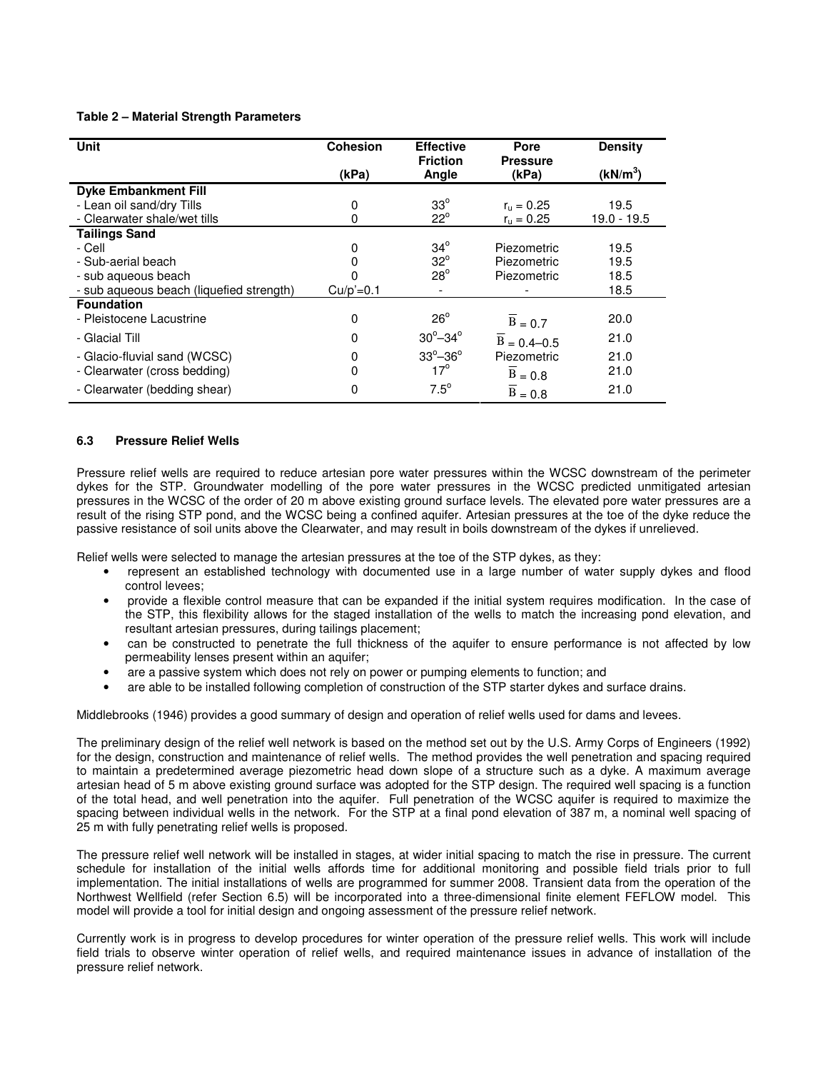### **Table 2 – Material Strength Parameters**

| Unit                                     | <b>Cohesion</b> | <b>Effective</b>          | Pore                     | <b>Density</b>       |
|------------------------------------------|-----------------|---------------------------|--------------------------|----------------------|
|                                          | (kPa)           | <b>Friction</b><br>Angle  | <b>Pressure</b><br>(kPa) | (kN/m <sup>3</sup> ) |
| <b>Dyke Embankment Fill</b>              |                 |                           |                          |                      |
| - Lean oil sand/dry Tills                | 0               | $33^\circ$                | $r_{\rm u} = 0.25$       | 19.5                 |
| - Clearwater shale/wet tills             | 0               | $22^{\circ}$              | $r_{\rm u} = 0.25$       | $19.0 - 19.5$        |
| <b>Tailings Sand</b>                     |                 |                           |                          |                      |
| - Cell                                   | 0               | $34^\circ$                | Piezometric              | 19.5                 |
| - Sub-aerial beach                       |                 | $32^\circ$                | Piezometric              | 19.5                 |
| - sub aqueous beach                      |                 | $28^\circ$                | Piezometric              | 18.5                 |
| - sub aqueous beach (liquefied strength) | $Cu/p' = 0.1$   |                           |                          | 18.5                 |
| <b>Foundation</b>                        |                 |                           |                          |                      |
| - Pleistocene Lacustrine                 | 0               | $26^{\circ}$              | $B = 0.7$                | 20.0                 |
| - Glacial Till                           | 0               | $30^{\circ} - 34^{\circ}$ | $B = 0.4 - 0.5$          | 21.0                 |
| - Glacio-fluvial sand (WCSC)             | 0               | $33^\circ - 36^\circ$     | Piezometric              | 21.0                 |
| - Clearwater (cross bedding)             | 0               | $17^{\circ}$              | $B = 0.8$                | 21.0                 |
| - Clearwater (bedding shear)             | 0               | $7.5^\circ$               | $B = 0.8$                | 21.0                 |

# **6.3 Pressure Relief Wells**

Pressure relief wells are required to reduce artesian pore water pressures within the WCSC downstream of the perimeter dykes for the STP. Groundwater modelling of the pore water pressures in the WCSC predicted unmitigated artesian pressures in the WCSC of the order of 20 m above existing ground surface levels. The elevated pore water pressures are a result of the rising STP pond, and the WCSC being a confined aquifer. Artesian pressures at the toe of the dyke reduce the passive resistance of soil units above the Clearwater, and may result in boils downstream of the dykes if unrelieved.

Relief wells were selected to manage the artesian pressures at the toe of the STP dykes, as they:

- represent an established technology with documented use in a large number of water supply dykes and flood control levees;
- provide a flexible control measure that can be expanded if the initial system requires modification. In the case of the STP, this flexibility allows for the staged installation of the wells to match the increasing pond elevation, and resultant artesian pressures, during tailings placement;
- can be constructed to penetrate the full thickness of the aquifer to ensure performance is not affected by low permeability lenses present within an aquifer;
- are a passive system which does not rely on power or pumping elements to function; and
- are able to be installed following completion of construction of the STP starter dykes and surface drains.

Middlebrooks (1946) provides a good summary of design and operation of relief wells used for dams and levees.

The preliminary design of the relief well network is based on the method set out by the U.S. Army Corps of Engineers (1992) for the design, construction and maintenance of relief wells. The method provides the well penetration and spacing required to maintain a predetermined average piezometric head down slope of a structure such as a dyke. A maximum average artesian head of 5 m above existing ground surface was adopted for the STP design. The required well spacing is a function of the total head, and well penetration into the aquifer. Full penetration of the WCSC aquifer is required to maximize the spacing between individual wells in the network. For the STP at a final pond elevation of 387 m, a nominal well spacing of 25 m with fully penetrating relief wells is proposed.

The pressure relief well network will be installed in stages, at wider initial spacing to match the rise in pressure. The current schedule for installation of the initial wells affords time for additional monitoring and possible field trials prior to full implementation. The initial installations of wells are programmed for summer 2008. Transient data from the operation of the Northwest Wellfield (refer Section 6.5) will be incorporated into a three-dimensional finite element FEFLOW model. This model will provide a tool for initial design and ongoing assessment of the pressure relief network.

Currently work is in progress to develop procedures for winter operation of the pressure relief wells. This work will include field trials to observe winter operation of relief wells, and required maintenance issues in advance of installation of the pressure relief network.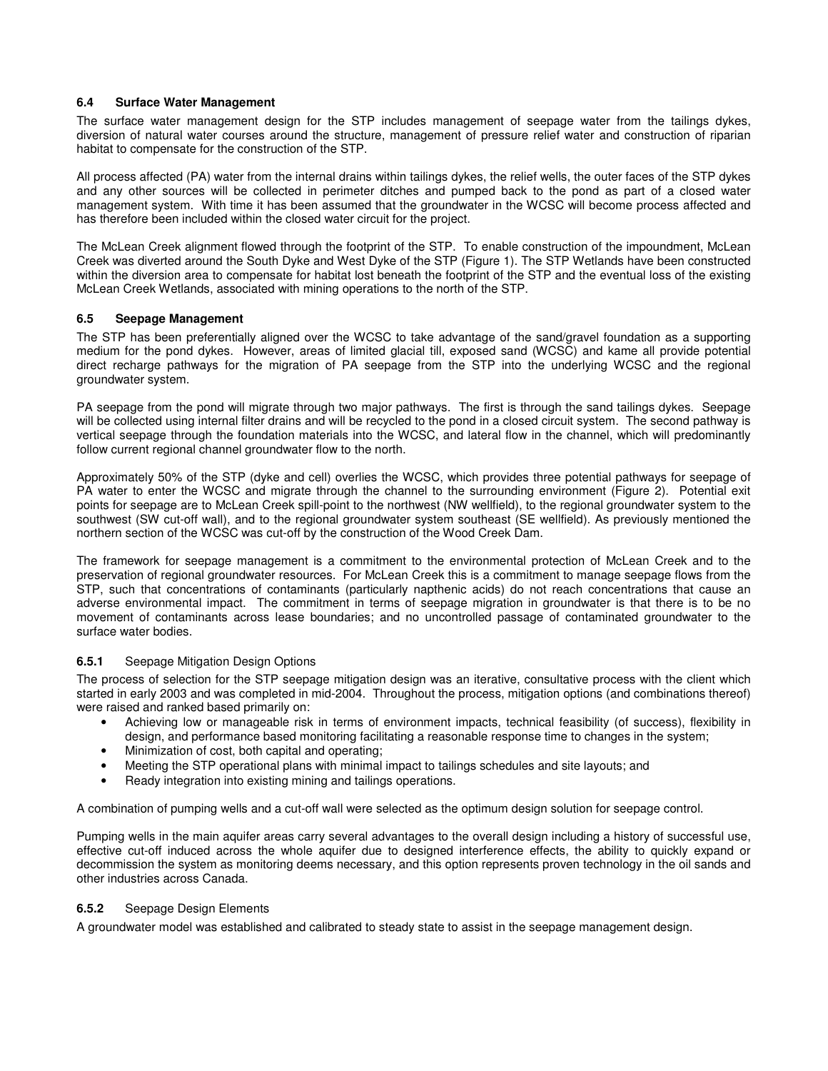### **6.4 Surface Water Management**

The surface water management design for the STP includes management of seepage water from the tailings dykes, diversion of natural water courses around the structure, management of pressure relief water and construction of riparian habitat to compensate for the construction of the STP.

All process affected (PA) water from the internal drains within tailings dykes, the relief wells, the outer faces of the STP dykes and any other sources will be collected in perimeter ditches and pumped back to the pond as part of a closed water management system. With time it has been assumed that the groundwater in the WCSC will become process affected and has therefore been included within the closed water circuit for the project.

The McLean Creek alignment flowed through the footprint of the STP. To enable construction of the impoundment, McLean Creek was diverted around the South Dyke and West Dyke of the STP (Figure 1). The STP Wetlands have been constructed within the diversion area to compensate for habitat lost beneath the footprint of the STP and the eventual loss of the existing McLean Creek Wetlands, associated with mining operations to the north of the STP.

### **6.5 Seepage Management**

The STP has been preferentially aligned over the WCSC to take advantage of the sand/gravel foundation as a supporting medium for the pond dykes. However, areas of limited glacial till, exposed sand (WCSC) and kame all provide potential direct recharge pathways for the migration of PA seepage from the STP into the underlying WCSC and the regional groundwater system.

PA seepage from the pond will migrate through two major pathways. The first is through the sand tailings dykes. Seepage will be collected using internal filter drains and will be recycled to the pond in a closed circuit system. The second pathway is vertical seepage through the foundation materials into the WCSC, and lateral flow in the channel, which will predominantly follow current regional channel groundwater flow to the north.

Approximately 50% of the STP (dyke and cell) overlies the WCSC, which provides three potential pathways for seepage of PA water to enter the WCSC and migrate through the channel to the surrounding environment (Figure 2). Potential exit points for seepage are to McLean Creek spill-point to the northwest (NW wellfield), to the regional groundwater system to the southwest (SW cut-off wall), and to the regional groundwater system southeast (SE wellfield). As previously mentioned the northern section of the WCSC was cut-off by the construction of the Wood Creek Dam.

The framework for seepage management is a commitment to the environmental protection of McLean Creek and to the preservation of regional groundwater resources. For McLean Creek this is a commitment to manage seepage flows from the STP, such that concentrations of contaminants (particularly napthenic acids) do not reach concentrations that cause an adverse environmental impact. The commitment in terms of seepage migration in groundwater is that there is to be no movement of contaminants across lease boundaries; and no uncontrolled passage of contaminated groundwater to the surface water bodies.

## **6.5.1** Seepage Mitigation Design Options

The process of selection for the STP seepage mitigation design was an iterative, consultative process with the client which started in early 2003 and was completed in mid-2004. Throughout the process, mitigation options (and combinations thereof) were raised and ranked based primarily on:

- Achieving low or manageable risk in terms of environment impacts, technical feasibility (of success), flexibility in design, and performance based monitoring facilitating a reasonable response time to changes in the system;
- Minimization of cost, both capital and operating;
- Meeting the STP operational plans with minimal impact to tailings schedules and site layouts; and
- Ready integration into existing mining and tailings operations.

A combination of pumping wells and a cut-off wall were selected as the optimum design solution for seepage control.

Pumping wells in the main aquifer areas carry several advantages to the overall design including a history of successful use, effective cut-off induced across the whole aquifer due to designed interference effects, the ability to quickly expand or decommission the system as monitoring deems necessary, and this option represents proven technology in the oil sands and other industries across Canada.

## **6.5.2** Seepage Design Elements

A groundwater model was established and calibrated to steady state to assist in the seepage management design.